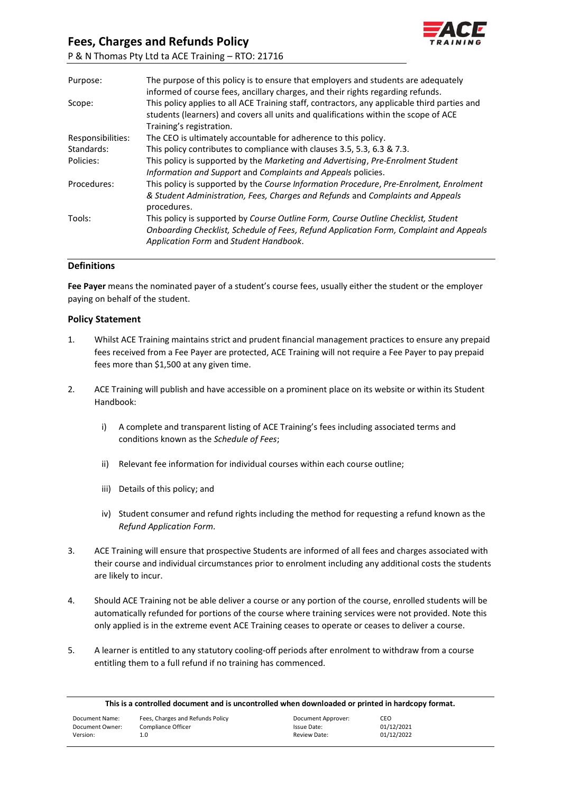

| Purpose:          | The purpose of this policy is to ensure that employers and students are adequately<br>informed of course fees, ancillary charges, and their rights regarding refunds.                                                  |
|-------------------|------------------------------------------------------------------------------------------------------------------------------------------------------------------------------------------------------------------------|
| Scope:            | This policy applies to all ACE Training staff, contractors, any applicable third parties and<br>students (learners) and covers all units and qualifications within the scope of ACE<br>Training's registration.        |
| Responsibilities: | The CEO is ultimately accountable for adherence to this policy.                                                                                                                                                        |
| Standards:        | This policy contributes to compliance with clauses 3.5, 5.3, 6.3 & 7.3.                                                                                                                                                |
| Policies:         | This policy is supported by the Marketing and Advertising, Pre-Enrolment Student<br>Information and Support and Complaints and Appeals policies.                                                                       |
| Procedures:       | This policy is supported by the Course Information Procedure, Pre-Enrolment, Enrolment<br>& Student Administration, Fees, Charges and Refunds and Complaints and Appeals<br>procedures.                                |
| Tools:            | This policy is supported by Course Outline Form, Course Outline Checklist, Student<br>Onboarding Checklist, Schedule of Fees, Refund Application Form, Complaint and Appeals<br>Application Form and Student Handbook. |
|                   |                                                                                                                                                                                                                        |

## **Definitions**

**Fee Payer** means the nominated payer of a student's course fees, usually either the student or the employer paying on behalf of the student.

## **Policy Statement**

- 1. Whilst ACE Training maintains strict and prudent financial management practices to ensure any prepaid fees received from a Fee Payer are protected, ACE Training will not require a Fee Payer to pay prepaid fees more than \$1,500 at any given time.
- 2. ACE Training will publish and have accessible on a prominent place on its website or within its Student Handbook:
	- i) A complete and transparent listing of ACE Training's fees including associated terms and conditions known as the *Schedule of Fees*;
	- ii) Relevant fee information for individual courses within each course outline;
	- iii) Details of this policy; and
	- iv) Student consumer and refund rights including the method for requesting a refund known as the *Refund Application Form.*
- 3. ACE Training will ensure that prospective Students are informed of all fees and charges associated with their course and individual circumstances prior to enrolment including any additional costs the students are likely to incur.
- 4. Should ACE Training not be able deliver a course or any portion of the course, enrolled students will be automatically refunded for portions of the course where training services were not provided. Note this only applied is in the extreme event ACE Training ceases to operate or ceases to deliver a course.
- 5. A learner is entitled to any statutory cooling-off periods after enrolment to withdraw from a course entitling them to a full refund if no training has commenced.

| This is a controlled document and is uncontrolled when downloaded or printed in hardcopy format. |                                  |                    |            |  |  |
|--------------------------------------------------------------------------------------------------|----------------------------------|--------------------|------------|--|--|
| Document Name:                                                                                   | Fees, Charges and Refunds Policy | Document Approver: | CEO.       |  |  |
| Document Owner:                                                                                  | Compliance Officer               | Issue Date:        | 01/12/2021 |  |  |
| Version:                                                                                         | 1.0                              | Review Date:       | 01/12/2022 |  |  |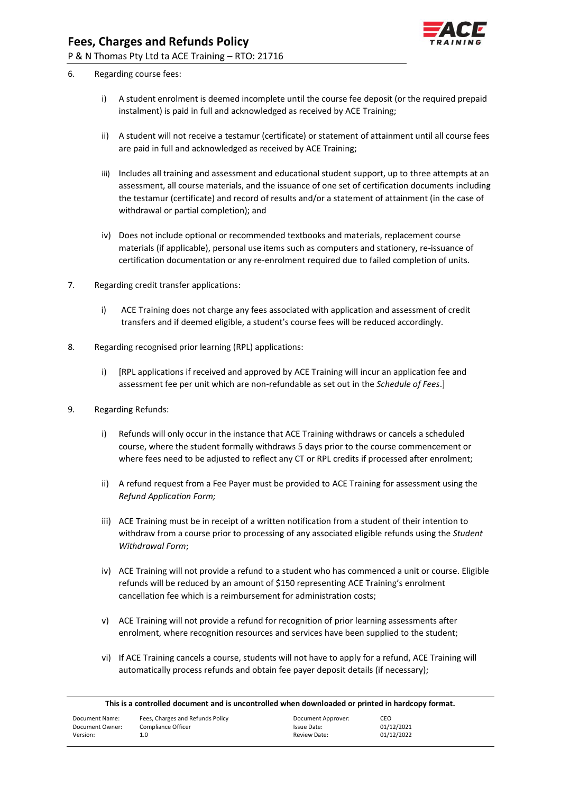

- 6. Regarding course fees:
	- i) A student enrolment is deemed incomplete until the course fee deposit (or the required prepaid instalment) is paid in full and acknowledged as received by ACE Training;
	- ii) A student will not receive a testamur (certificate) or statement of attainment until all course fees are paid in full and acknowledged as received by ACE Training;
	- iii) Includes all training and assessment and educational student support, up to three attempts at an assessment, all course materials, and the issuance of one set of certification documents including the testamur (certificate) and record of results and/or a statement of attainment (in the case of withdrawal or partial completion); and
	- iv) Does not include optional or recommended textbooks and materials, replacement course materials (if applicable), personal use items such as computers and stationery, re-issuance of certification documentation or any re-enrolment required due to failed completion of units.
- 7. Regarding credit transfer applications:
	- i) ACE Training does not charge any fees associated with application and assessment of credit transfers and if deemed eligible, a student's course fees will be reduced accordingly.
- 8. Regarding recognised prior learning (RPL) applications:
	- i) [RPL applications if received and approved by ACE Training will incur an application fee and assessment fee per unit which are non-refundable as set out in the *Schedule of Fees*.]
- 9. Regarding Refunds:
	- i) Refunds will only occur in the instance that ACE Training withdraws or cancels a scheduled course, where the student formally withdraws 5 days prior to the course commencement or where fees need to be adjusted to reflect any CT or RPL credits if processed after enrolment;
	- ii) A refund request from a Fee Payer must be provided to ACE Training for assessment using the *Refund Application Form;*
	- iii) ACE Training must be in receipt of a written notification from a student of their intention to withdraw from a course prior to processing of any associated eligible refunds using the *Student Withdrawal Form*;
	- iv) ACE Training will not provide a refund to a student who has commenced a unit or course. Eligible refunds will be reduced by an amount of \$150 representing ACE Training's enrolment cancellation fee which is a reimbursement for administration costs;
	- v) ACE Training will not provide a refund for recognition of prior learning assessments after enrolment, where recognition resources and services have been supplied to the student;
	- vi) If ACE Training cancels a course, students will not have to apply for a refund, ACE Training will automatically process refunds and obtain fee payer deposit details (if necessary);

| This is a controlled document and is uncontrolled when downloaded or printed in hardcopy format. |                                  |                    |            |  |  |
|--------------------------------------------------------------------------------------------------|----------------------------------|--------------------|------------|--|--|
| Document Name:                                                                                   | Fees, Charges and Refunds Policy | Document Approver: | CEO        |  |  |
| Document Owner:                                                                                  | Compliance Officer               | Issue Date:        | 01/12/2021 |  |  |
| Version:                                                                                         | 1.0                              | Review Date:       | 01/12/2022 |  |  |